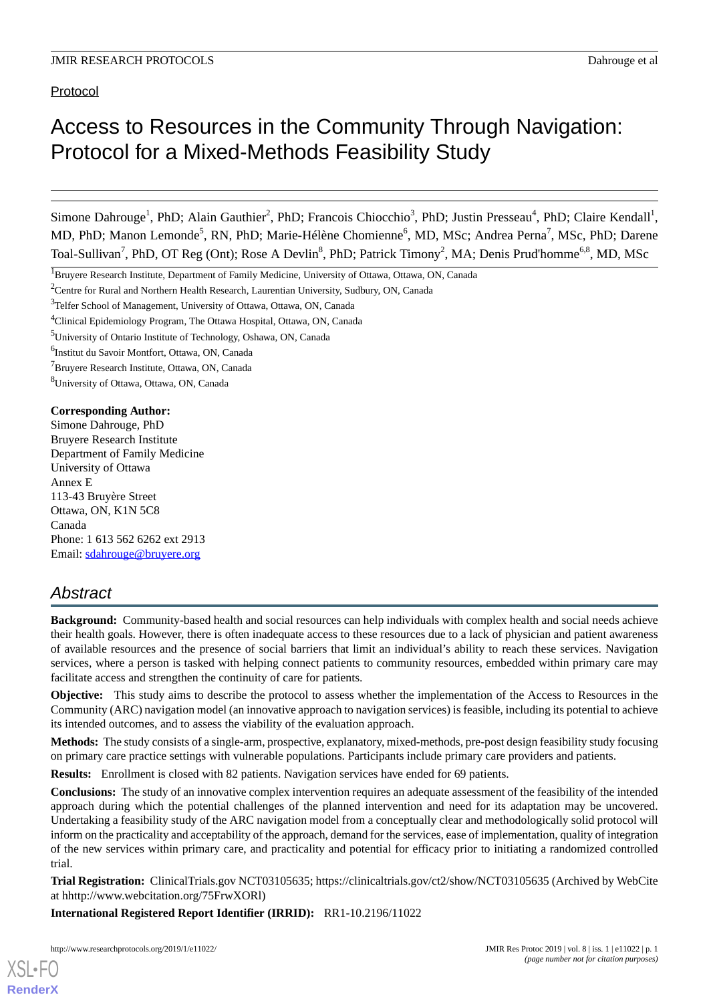# Access to Resources in the Community Through Navigation: Protocol for a Mixed-Methods Feasibility Study

Simone Dahrouge<sup>1</sup>, PhD; Alain Gauthier<sup>2</sup>, PhD; Francois Chiocchio<sup>3</sup>, PhD; Justin Presseau<sup>4</sup>, PhD; Claire Kendall<sup>1</sup>, MD, PhD; Manon Lemonde<sup>5</sup>, RN, PhD; Marie-Hélène Chomienne<sup>6</sup>, MD, MSc; Andrea Perna<sup>7</sup>, MSc, PhD; Darene Toal-Sullivan<sup>7</sup>, PhD, OT Reg (Ont); Rose A Devlin<sup>8</sup>, PhD; Patrick Timony<sup>2</sup>, MA; Denis Prud'homme<sup>6,8</sup>, MD, MSc

6 Institut du Savoir Montfort, Ottawa, ON, Canada

<sup>7</sup>Bruyere Research Institute, Ottawa, ON, Canada

<sup>8</sup>University of Ottawa, Ottawa, ON, Canada

#### **Corresponding Author:**

Simone Dahrouge, PhD Bruyere Research Institute Department of Family Medicine University of Ottawa Annex E 113-43 Bruyère Street Ottawa, ON, K1N 5C8 Canada Phone: 1 613 562 6262 ext 2913 Email: [sdahrouge@bruyere.org](mailto:sdahrouge@bruyere.org)

# *Abstract*

**Background:** Community-based health and social resources can help individuals with complex health and social needs achieve their health goals. However, there is often inadequate access to these resources due to a lack of physician and patient awareness of available resources and the presence of social barriers that limit an individual's ability to reach these services. Navigation services, where a person is tasked with helping connect patients to community resources, embedded within primary care may facilitate access and strengthen the continuity of care for patients.

**Objective:** This study aims to describe the protocol to assess whether the implementation of the Access to Resources in the Community (ARC) navigation model (an innovative approach to navigation services) is feasible, including its potential to achieve its intended outcomes, and to assess the viability of the evaluation approach.

**Methods:** The study consists of a single-arm, prospective, explanatory, mixed-methods, pre-post design feasibility study focusing on primary care practice settings with vulnerable populations. Participants include primary care providers and patients.

**Results:** Enrollment is closed with 82 patients. Navigation services have ended for 69 patients.

**Conclusions:** The study of an innovative complex intervention requires an adequate assessment of the feasibility of the intended approach during which the potential challenges of the planned intervention and need for its adaptation may be uncovered. Undertaking a feasibility study of the ARC navigation model from a conceptually clear and methodologically solid protocol will inform on the practicality and acceptability of the approach, demand for the services, ease of implementation, quality of integration of the new services within primary care, and practicality and potential for efficacy prior to initiating a randomized controlled trial.

**Trial Registration:** ClinicalTrials.gov NCT03105635; https://clinicaltrials.gov/ct2/show/NCT03105635 (Archived by WebCite at hhttp://www.webcitation.org/75FrwXORl)

**International Registered Report Identifier (IRRID):** RR1-10.2196/11022

<sup>&</sup>lt;sup>1</sup>Bruyere Research Institute, Department of Family Medicine, University of Ottawa, Ottawa, ON, Canada

<sup>&</sup>lt;sup>2</sup>Centre for Rural and Northern Health Research, Laurentian University, Sudbury, ON, Canada

<sup>&</sup>lt;sup>3</sup>Telfer School of Management, University of Ottawa, Ottawa, ON, Canada

<sup>4</sup>Clinical Epidemiology Program, The Ottawa Hospital, Ottawa, ON, Canada

<sup>5</sup>University of Ontario Institute of Technology, Oshawa, ON, Canada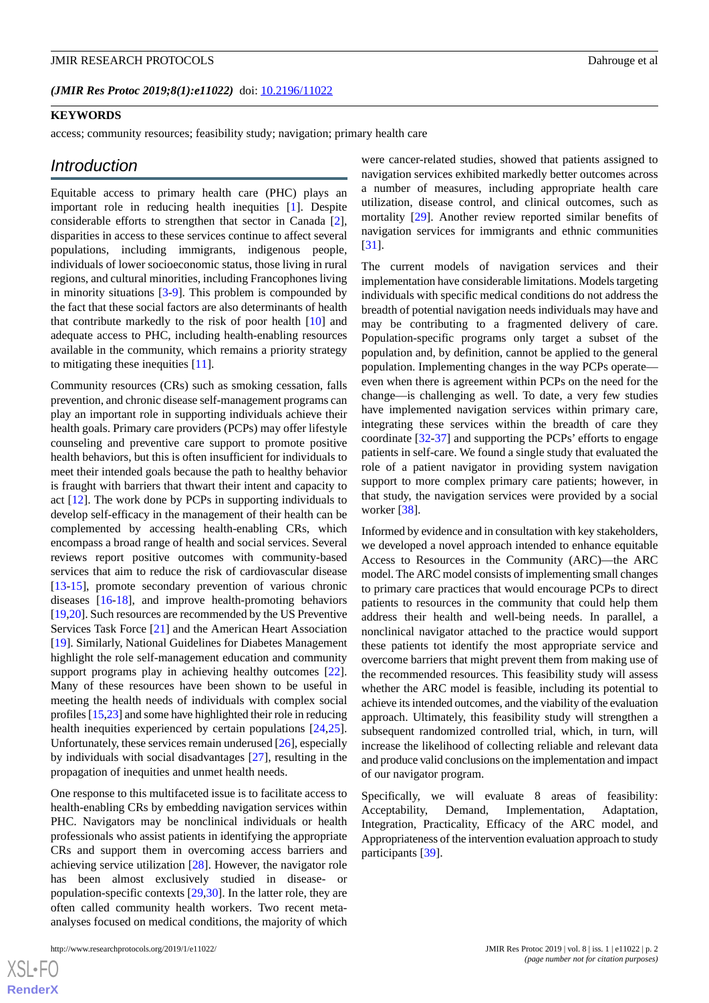(JMIR Res Protoc 2019;8(1):e11022) doi: [10.2196/11022](http://dx.doi.org/10.2196/11022)

#### **KEYWORDS**

access; community resources; feasibility study; navigation; primary health care

# *Introduction*

Equitable access to primary health care (PHC) plays an important role in reducing health inequities [[1\]](#page-8-0). Despite considerable efforts to strengthen that sector in Canada [[2\]](#page-8-1), disparities in access to these services continue to affect several populations, including immigrants, indigenous people, individuals of lower socioeconomic status, those living in rural regions, and cultural minorities, including Francophones living in minority situations [\[3](#page-8-2)-[9\]](#page-8-3). This problem is compounded by the fact that these social factors are also determinants of health that contribute markedly to the risk of poor health [[10\]](#page-8-4) and adequate access to PHC, including health-enabling resources available in the community, which remains a priority strategy to mitigating these inequities [\[11](#page-8-5)].

Community resources (CRs) such as smoking cessation, falls prevention, and chronic disease self-management programs can play an important role in supporting individuals achieve their health goals. Primary care providers (PCPs) may offer lifestyle counseling and preventive care support to promote positive health behaviors, but this is often insufficient for individuals to meet their intended goals because the path to healthy behavior is fraught with barriers that thwart their intent and capacity to act [\[12](#page-8-6)]. The work done by PCPs in supporting individuals to develop self-efficacy in the management of their health can be complemented by accessing health-enabling CRs, which encompass a broad range of health and social services. Several reviews report positive outcomes with community-based services that aim to reduce the risk of cardiovascular disease [[13](#page-8-7)[-15](#page-8-8)], promote secondary prevention of various chronic diseases [\[16](#page-8-9)-[18\]](#page-8-10), and improve health-promoting behaviors [[19](#page-8-11)[,20](#page-9-0)]. Such resources are recommended by the US Preventive Services Task Force [\[21](#page-9-1)] and the American Heart Association [[19\]](#page-8-11). Similarly, National Guidelines for Diabetes Management highlight the role self-management education and community support programs play in achieving healthy outcomes [[22\]](#page-9-2). Many of these resources have been shown to be useful in meeting the health needs of individuals with complex social profiles [[15](#page-8-8),[23\]](#page-9-3) and some have highlighted their role in reducing health inequities experienced by certain populations [\[24](#page-9-4),[25\]](#page-9-5). Unfortunately, these services remain underused [\[26](#page-9-6)], especially by individuals with social disadvantages [[27\]](#page-9-7), resulting in the propagation of inequities and unmet health needs.

One response to this multifaceted issue is to facilitate access to health-enabling CRs by embedding navigation services within PHC. Navigators may be nonclinical individuals or health professionals who assist patients in identifying the appropriate CRs and support them in overcoming access barriers and achieving service utilization [[28\]](#page-9-8). However, the navigator role has been almost exclusively studied in disease- or population-specific contexts [[29,](#page-9-9)[30](#page-9-10)]. In the latter role, they are often called community health workers. Two recent metaanalyses focused on medical conditions, the majority of which

were cancer-related studies, showed that patients assigned to navigation services exhibited markedly better outcomes across a number of measures, including appropriate health care utilization, disease control, and clinical outcomes, such as mortality [\[29](#page-9-9)]. Another review reported similar benefits of navigation services for immigrants and ethnic communities [[31\]](#page-9-11).

The current models of navigation services and their implementation have considerable limitations. Models targeting individuals with specific medical conditions do not address the breadth of potential navigation needs individuals may have and may be contributing to a fragmented delivery of care. Population-specific programs only target a subset of the population and, by definition, cannot be applied to the general population. Implementing changes in the way PCPs operate even when there is agreement within PCPs on the need for the change—is challenging as well. To date, a very few studies have implemented navigation services within primary care, integrating these services within the breadth of care they coordinate [[32](#page-9-12)[-37](#page-9-13)] and supporting the PCPs' efforts to engage patients in self-care. We found a single study that evaluated the role of a patient navigator in providing system navigation support to more complex primary care patients; however, in that study, the navigation services were provided by a social worker [[38\]](#page-9-14).

Informed by evidence and in consultation with key stakeholders, we developed a novel approach intended to enhance equitable Access to Resources in the Community (ARC)—the ARC model. The ARC model consists of implementing small changes to primary care practices that would encourage PCPs to direct patients to resources in the community that could help them address their health and well-being needs. In parallel, a nonclinical navigator attached to the practice would support these patients tot identify the most appropriate service and overcome barriers that might prevent them from making use of the recommended resources. This feasibility study will assess whether the ARC model is feasible, including its potential to achieve its intended outcomes, and the viability of the evaluation approach. Ultimately, this feasibility study will strengthen a subsequent randomized controlled trial, which, in turn, will increase the likelihood of collecting reliable and relevant data and produce valid conclusions on the implementation and impact of our navigator program.

Specifically, we will evaluate 8 areas of feasibility: Acceptability, Demand, Implementation, Adaptation, Integration, Practicality, Efficacy of the ARC model, and Appropriateness of the intervention evaluation approach to study participants [\[39](#page-9-15)].

 $XSI - F($ **[RenderX](http://www.renderx.com/)**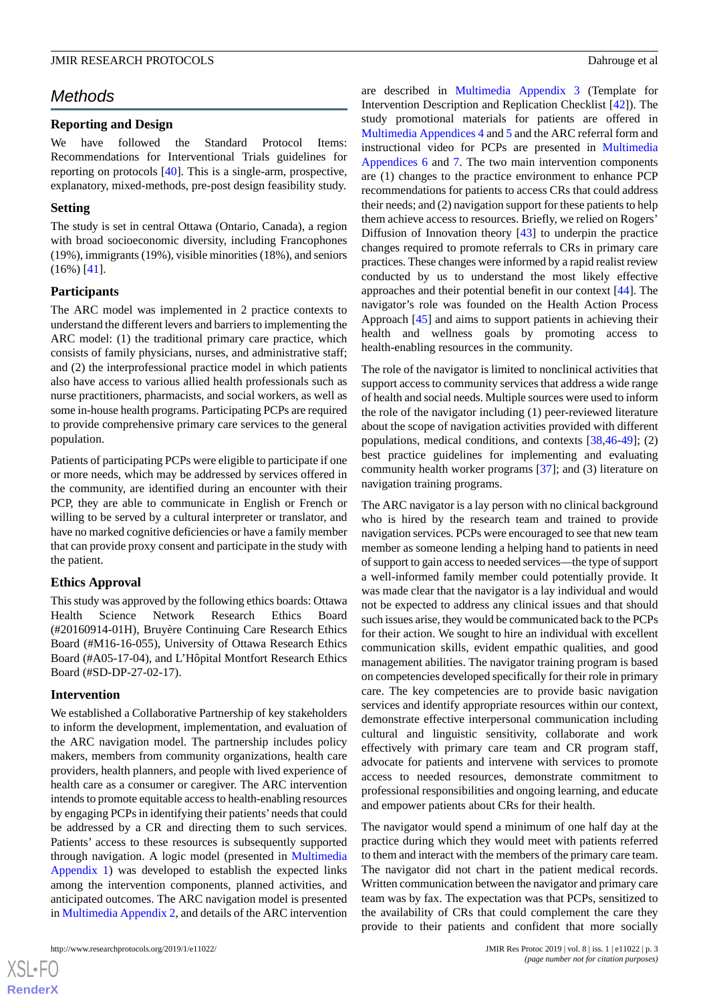# *Methods*

# **Reporting and Design**

We have followed the Standard Protocol Items: Recommendations for Interventional Trials guidelines for reporting on protocols [[40\]](#page-9-16). This is a single-arm, prospective, explanatory, mixed-methods, pre-post design feasibility study.

# **Setting**

The study is set in central Ottawa (Ontario, Canada), a region with broad socioeconomic diversity, including Francophones (19%), immigrants (19%), visible minorities (18%), and seniors (16%) [\[41](#page-10-0)].

# **Participants**

The ARC model was implemented in 2 practice contexts to understand the different levers and barriers to implementing the ARC model: (1) the traditional primary care practice, which consists of family physicians, nurses, and administrative staff; and (2) the interprofessional practice model in which patients also have access to various allied health professionals such as nurse practitioners, pharmacists, and social workers, as well as some in-house health programs. Participating PCPs are required to provide comprehensive primary care services to the general population.

Patients of participating PCPs were eligible to participate if one or more needs, which may be addressed by services offered in the community, are identified during an encounter with their PCP, they are able to communicate in English or French or willing to be served by a cultural interpreter or translator, and have no marked cognitive deficiencies or have a family member that can provide proxy consent and participate in the study with the patient.

# **Ethics Approval**

This study was approved by the following ethics boards: Ottawa Health Science Network Research Ethics Board (#20160914-01H), Bruyère Continuing Care Research Ethics Board (#M16-16-055), University of Ottawa Research Ethics Board (#A05-17-04), and L'Hôpital Montfort Research Ethics Board (#SD-DP-27-02-17).

# **Intervention**

We established a Collaborative Partnership of key stakeholders to inform the development, implementation, and evaluation of the ARC navigation model. The partnership includes policy makers, members from community organizations, health care providers, health planners, and people with lived experience of health care as a consumer or caregiver. The ARC intervention intends to promote equitable access to health-enabling resources by engaging PCPs in identifying their patients'needs that could be addressed by a CR and directing them to such services. Patients' access to these resources is subsequently supported through navigation. A logic model (presented in [Multimedia](#page-7-0) [Appendix 1](#page-7-0)) was developed to establish the expected links among the intervention components, planned activities, and anticipated outcomes. The ARC navigation model is presented in [Multimedia Appendix 2](#page-7-1), and details of the ARC intervention

are described in [Multimedia Appendix 3](#page-7-2) (Template for Intervention Description and Replication Checklist [\[42](#page-10-1)]). The study promotional materials for patients are offered in [Multimedia Appendices 4](#page-7-3) and [5](#page-7-4) and the ARC referral form and instructional video for PCPs are presented in [Multimedia](#page-7-5) [Appendices 6](#page-7-5) and [7.](#page-8-12) The two main intervention components are (1) changes to the practice environment to enhance PCP recommendations for patients to access CRs that could address their needs; and (2) navigation support for these patients to help them achieve access to resources. Briefly, we relied on Rogers' Diffusion of Innovation theory [\[43](#page-10-2)] to underpin the practice changes required to promote referrals to CRs in primary care practices. These changes were informed by a rapid realist review conducted by us to understand the most likely effective approaches and their potential benefit in our context [[44\]](#page-10-3). The navigator's role was founded on the Health Action Process Approach [\[45](#page-10-4)] and aims to support patients in achieving their health and wellness goals by promoting access to health-enabling resources in the community.

The role of the navigator is limited to nonclinical activities that support access to community services that address a wide range of health and social needs. Multiple sources were used to inform the role of the navigator including (1) peer-reviewed literature about the scope of navigation activities provided with different populations, medical conditions, and contexts [[38](#page-9-14)[,46](#page-10-5)-[49\]](#page-10-6); (2) best practice guidelines for implementing and evaluating community health worker programs [[37\]](#page-9-13); and (3) literature on navigation training programs.

The ARC navigator is a lay person with no clinical background who is hired by the research team and trained to provide navigation services. PCPs were encouraged to see that new team member as someone lending a helping hand to patients in need of support to gain access to needed services—the type of support a well-informed family member could potentially provide. It was made clear that the navigator is a lay individual and would not be expected to address any clinical issues and that should such issues arise, they would be communicated back to the PCPs for their action. We sought to hire an individual with excellent communication skills, evident empathic qualities, and good management abilities. The navigator training program is based on competencies developed specifically for their role in primary care. The key competencies are to provide basic navigation services and identify appropriate resources within our context, demonstrate effective interpersonal communication including cultural and linguistic sensitivity, collaborate and work effectively with primary care team and CR program staff, advocate for patients and intervene with services to promote access to needed resources, demonstrate commitment to professional responsibilities and ongoing learning, and educate and empower patients about CRs for their health.

The navigator would spend a minimum of one half day at the practice during which they would meet with patients referred to them and interact with the members of the primary care team. The navigator did not chart in the patient medical records. Written communication between the navigator and primary care team was by fax. The expectation was that PCPs, sensitized to the availability of CRs that could complement the care they provide to their patients and confident that more socially

```
XS-FO
RenderX
```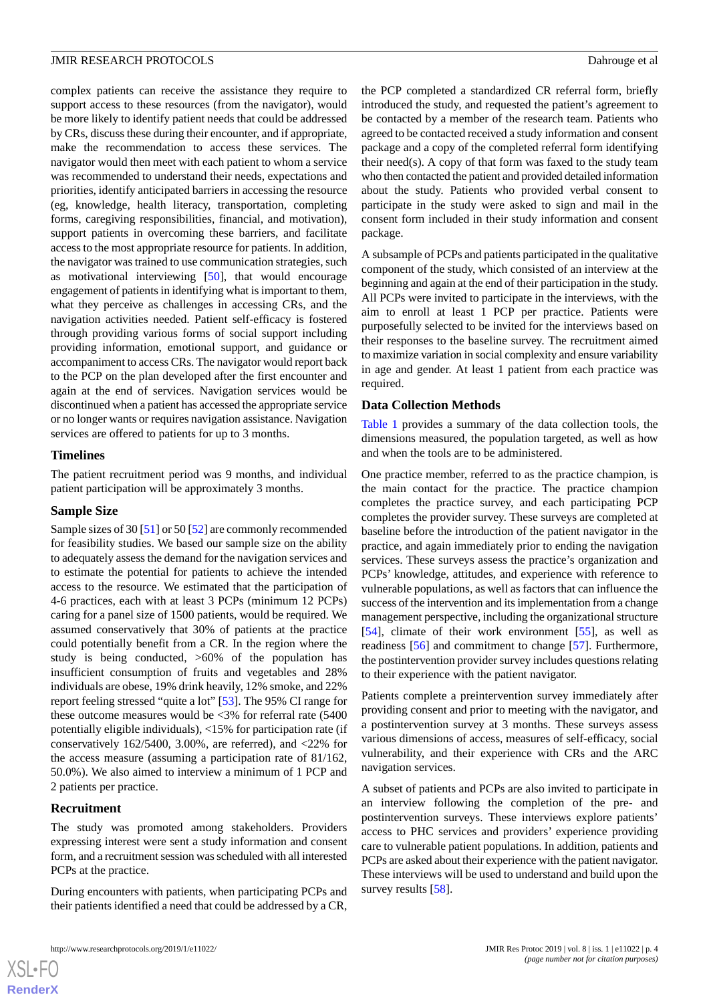complex patients can receive the assistance they require to support access to these resources (from the navigator), would be more likely to identify patient needs that could be addressed by CRs, discuss these during their encounter, and if appropriate, make the recommendation to access these services. The navigator would then meet with each patient to whom a service was recommended to understand their needs, expectations and priorities, identify anticipated barriers in accessing the resource (eg, knowledge, health literacy, transportation, completing forms, caregiving responsibilities, financial, and motivation), support patients in overcoming these barriers, and facilitate access to the most appropriate resource for patients. In addition, the navigator was trained to use communication strategies, such as motivational interviewing [[50\]](#page-10-7), that would encourage engagement of patients in identifying what is important to them, what they perceive as challenges in accessing CRs, and the navigation activities needed. Patient self-efficacy is fostered

through providing various forms of social support including providing information, emotional support, and guidance or accompaniment to access CRs. The navigator would report back to the PCP on the plan developed after the first encounter and again at the end of services. Navigation services would be discontinued when a patient has accessed the appropriate service or no longer wants or requires navigation assistance. Navigation services are offered to patients for up to 3 months.

# **Timelines**

The patient recruitment period was 9 months, and individual patient participation will be approximately 3 months.

# **Sample Size**

Sample sizes of 30 [[51\]](#page-10-8) or 50 [\[52](#page-10-9)] are commonly recommended for feasibility studies. We based our sample size on the ability to adequately assess the demand for the navigation services and to estimate the potential for patients to achieve the intended access to the resource. We estimated that the participation of 4-6 practices, each with at least 3 PCPs (minimum 12 PCPs) caring for a panel size of 1500 patients, would be required. We assumed conservatively that 30% of patients at the practice could potentially benefit from a CR. In the region where the study is being conducted, >60% of the population has insufficient consumption of fruits and vegetables and 28% individuals are obese, 19% drink heavily, 12% smoke, and 22% report feeling stressed "quite a lot" [[53\]](#page-10-10). The 95% CI range for these outcome measures would be <3% for referral rate (5400 potentially eligible individuals), <15% for participation rate (if conservatively  $162/5400$ ,  $3.00\%$ , are referred), and  $\langle 22\%$  for the access measure (assuming a participation rate of 81/162, 50.0%). We also aimed to interview a minimum of 1 PCP and 2 patients per practice.

# **Recruitment**

 $XSI - F($ **[RenderX](http://www.renderx.com/)**

The study was promoted among stakeholders. Providers expressing interest were sent a study information and consent form, and a recruitment session was scheduled with all interested PCPs at the practice.

During encounters with patients, when participating PCPs and their patients identified a need that could be addressed by a CR, the PCP completed a standardized CR referral form, briefly introduced the study, and requested the patient's agreement to be contacted by a member of the research team. Patients who agreed to be contacted received a study information and consent package and a copy of the completed referral form identifying their need(s). A copy of that form was faxed to the study team who then contacted the patient and provided detailed information about the study. Patients who provided verbal consent to participate in the study were asked to sign and mail in the consent form included in their study information and consent package.

A subsample of PCPs and patients participated in the qualitative component of the study, which consisted of an interview at the beginning and again at the end of their participation in the study. All PCPs were invited to participate in the interviews, with the aim to enroll at least 1 PCP per practice. Patients were purposefully selected to be invited for the interviews based on their responses to the baseline survey. The recruitment aimed to maximize variation in social complexity and ensure variability in age and gender. At least 1 patient from each practice was required.

# **Data Collection Methods**

[Table 1](#page-4-0) provides a summary of the data collection tools, the dimensions measured, the population targeted, as well as how and when the tools are to be administered.

One practice member, referred to as the practice champion, is the main contact for the practice. The practice champion completes the practice survey, and each participating PCP completes the provider survey. These surveys are completed at baseline before the introduction of the patient navigator in the practice, and again immediately prior to ending the navigation services. These surveys assess the practice's organization and PCPs' knowledge, attitudes, and experience with reference to vulnerable populations, as well as factors that can influence the success of the intervention and its implementation from a change management perspective, including the organizational structure [[54\]](#page-10-11), climate of their work environment [\[55](#page-10-12)], as well as readiness [\[56](#page-10-13)] and commitment to change [\[57](#page-10-14)]. Furthermore, the postintervention provider survey includes questions relating to their experience with the patient navigator.

Patients complete a preintervention survey immediately after providing consent and prior to meeting with the navigator, and a postintervention survey at 3 months. These surveys assess various dimensions of access, measures of self-efficacy, social vulnerability, and their experience with CRs and the ARC navigation services.

A subset of patients and PCPs are also invited to participate in an interview following the completion of the pre- and postintervention surveys. These interviews explore patients' access to PHC services and providers' experience providing care to vulnerable patient populations. In addition, patients and PCPs are asked about their experience with the patient navigator. These interviews will be used to understand and build upon the survey results [\[58](#page-10-15)].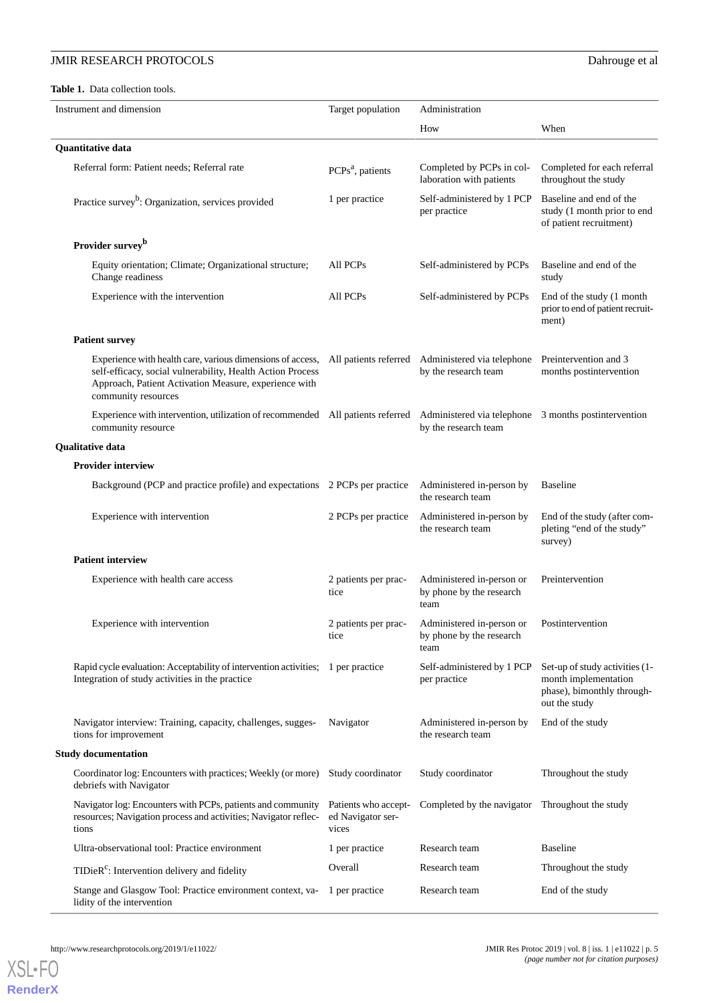# <span id="page-4-0"></span>Table 1. Data collection tools.

| Instrument and dimension   |                                                                                                                                                                                                          | Target population                                  | Administration                                                           |                                                                                                       |  |
|----------------------------|----------------------------------------------------------------------------------------------------------------------------------------------------------------------------------------------------------|----------------------------------------------------|--------------------------------------------------------------------------|-------------------------------------------------------------------------------------------------------|--|
|                            |                                                                                                                                                                                                          |                                                    | How                                                                      | When                                                                                                  |  |
| <b>Quantitative data</b>   |                                                                                                                                                                                                          |                                                    |                                                                          |                                                                                                       |  |
|                            | Referral form: Patient needs; Referral rate                                                                                                                                                              | PCPs <sup>a</sup> , patients                       | Completed by PCPs in col-<br>laboration with patients                    | Completed for each referral<br>throughout the study                                                   |  |
|                            | Practice survey <sup>b</sup> : Organization, services provided                                                                                                                                           | 1 per practice                                     | Self-administered by 1 PCP<br>per practice                               | Baseline and end of the<br>study (1 month prior to end<br>of patient recruitment)                     |  |
|                            | Provider survey <sup>b</sup>                                                                                                                                                                             |                                                    |                                                                          |                                                                                                       |  |
|                            | Equity orientation; Climate; Organizational structure;<br>Change readiness                                                                                                                               | All PCPs                                           | Self-administered by PCPs                                                | Baseline and end of the<br>study                                                                      |  |
|                            | Experience with the intervention                                                                                                                                                                         | All PCPs                                           | Self-administered by PCPs                                                | End of the study (1 month<br>prior to end of patient recruit-<br>ment)                                |  |
|                            | <b>Patient survey</b>                                                                                                                                                                                    |                                                    |                                                                          |                                                                                                       |  |
|                            | Experience with health care, various dimensions of access,<br>self-efficacy, social vulnerability, Health Action Process<br>Approach, Patient Activation Measure, experience with<br>community resources |                                                    | All patients referred Administered via telephone<br>by the research team | Preintervention and 3<br>months postintervention                                                      |  |
|                            | Experience with intervention, utilization of recommended All patients referred Administered via telephone 3 months postintervention<br>community resource                                                |                                                    | by the research team                                                     |                                                                                                       |  |
| <b>Qualitative data</b>    |                                                                                                                                                                                                          |                                                    |                                                                          |                                                                                                       |  |
|                            | <b>Provider interview</b>                                                                                                                                                                                |                                                    |                                                                          |                                                                                                       |  |
|                            | Background (PCP and practice profile) and expectations 2 PCPs per practice                                                                                                                               |                                                    | Administered in-person by<br>the research team                           | <b>Baseline</b>                                                                                       |  |
|                            | Experience with intervention                                                                                                                                                                             | 2 PCPs per practice                                | Administered in-person by<br>the research team                           | End of the study (after com-<br>pleting "end of the study"<br>survey)                                 |  |
|                            | <b>Patient interview</b>                                                                                                                                                                                 |                                                    |                                                                          |                                                                                                       |  |
|                            | Experience with health care access                                                                                                                                                                       | 2 patients per prac-<br>tice                       | Administered in-person or<br>by phone by the research<br>team            | Preintervention                                                                                       |  |
|                            | Experience with intervention                                                                                                                                                                             | 2 patients per prac-<br>tice                       | Administered in-person or<br>by phone by the research<br>team            | Postintervention                                                                                      |  |
|                            | Rapid cycle evaluation: Acceptability of intervention activities; 1 per practice<br>Integration of study activities in the practice                                                                      |                                                    | Self-administered by 1 PCP<br>per practice                               | Set-up of study activities (1-<br>month implementation<br>phase), bimonthly through-<br>out the study |  |
|                            | Navigator interview: Training, capacity, challenges, sugges-<br>tions for improvement                                                                                                                    | Navigator                                          | Administered in-person by<br>the research team                           | End of the study                                                                                      |  |
| <b>Study documentation</b> |                                                                                                                                                                                                          |                                                    |                                                                          |                                                                                                       |  |
|                            | Coordinator log: Encounters with practices; Weekly (or more)<br>debriefs with Navigator                                                                                                                  | Study coordinator                                  | Study coordinator                                                        | Throughout the study                                                                                  |  |
|                            | Navigator log: Encounters with PCPs, patients and community<br>resources; Navigation process and activities; Navigator reflec-<br>tions                                                                  | Patients who accept-<br>ed Navigator ser-<br>vices | Completed by the navigator Throughout the study                          |                                                                                                       |  |
|                            | Ultra-observational tool: Practice environment                                                                                                                                                           | 1 per practice                                     | Research team                                                            | <b>Baseline</b>                                                                                       |  |
|                            | TIDieR <sup>c</sup> : Intervention delivery and fidelity                                                                                                                                                 | Overall                                            | Research team                                                            | Throughout the study                                                                                  |  |
|                            | Stange and Glasgow Tool: Practice environment context, va-<br>lidity of the intervention                                                                                                                 | 1 per practice                                     | Research team                                                            | End of the study                                                                                      |  |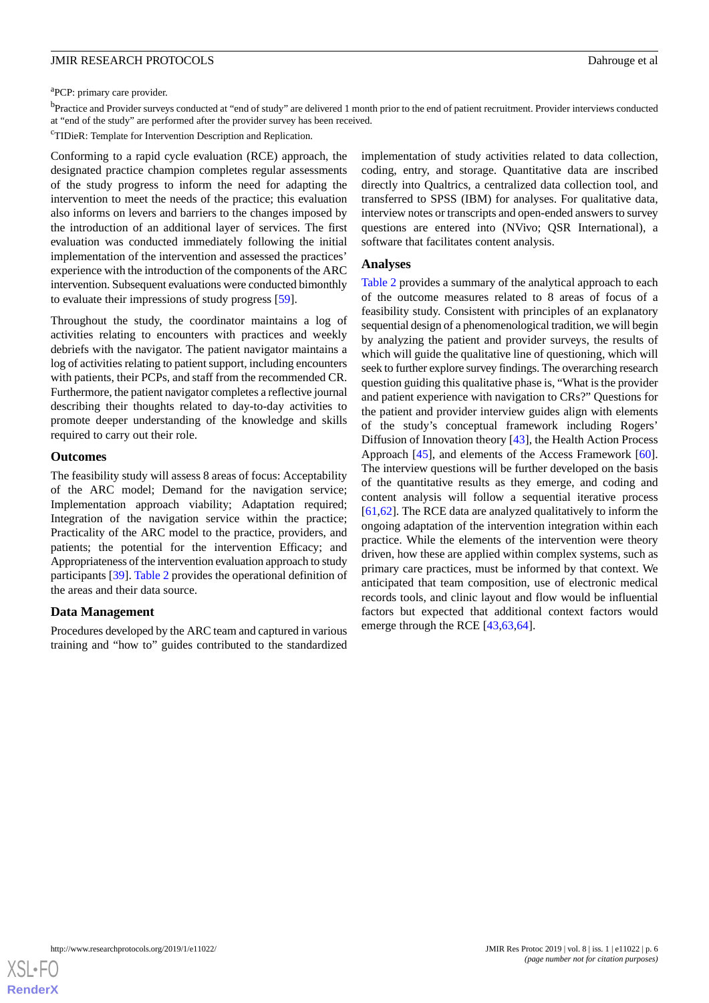<sup>a</sup>PCP: primary care provider.

b<br>Practice and Provider surveys conducted at "end of study" are delivered 1 month prior to the end of patient recruitment. Provider interviews conducted at "end of the study" are performed after the provider survey has been received.

<sup>c</sup>TIDieR: Template for Intervention Description and Replication.

Conforming to a rapid cycle evaluation (RCE) approach, the designated practice champion completes regular assessments of the study progress to inform the need for adapting the intervention to meet the needs of the practice; this evaluation also informs on levers and barriers to the changes imposed by the introduction of an additional layer of services. The first evaluation was conducted immediately following the initial implementation of the intervention and assessed the practices' experience with the introduction of the components of the ARC intervention. Subsequent evaluations were conducted bimonthly to evaluate their impressions of study progress [[59\]](#page-10-16).

Throughout the study, the coordinator maintains a log of activities relating to encounters with practices and weekly debriefs with the navigator. The patient navigator maintains a log of activities relating to patient support, including encounters with patients, their PCPs, and staff from the recommended CR. Furthermore, the patient navigator completes a reflective journal describing their thoughts related to day-to-day activities to promote deeper understanding of the knowledge and skills required to carry out their role.

#### **Outcomes**

The feasibility study will assess 8 areas of focus: Acceptability of the ARC model; Demand for the navigation service; Implementation approach viability; Adaptation required; Integration of the navigation service within the practice; Practicality of the ARC model to the practice, providers, and patients; the potential for the intervention Efficacy; and Appropriateness of the intervention evaluation approach to study participants [[39\]](#page-9-15). [Table 2](#page-6-0) provides the operational definition of the areas and their data source.

#### **Data Management**

Procedures developed by the ARC team and captured in various training and "how to" guides contributed to the standardized

implementation of study activities related to data collection, coding, entry, and storage. Quantitative data are inscribed directly into Qualtrics, a centralized data collection tool, and transferred to SPSS (IBM) for analyses. For qualitative data, interview notes or transcripts and open-ended answers to survey questions are entered into (NVivo; QSR International), a software that facilitates content analysis.

#### **Analyses**

[Table 2](#page-6-0) provides a summary of the analytical approach to each of the outcome measures related to 8 areas of focus of a feasibility study. Consistent with principles of an explanatory sequential design of a phenomenological tradition, we will begin by analyzing the patient and provider surveys, the results of which will guide the qualitative line of questioning, which will seek to further explore survey findings. The overarching research question guiding this qualitative phase is, "What is the provider and patient experience with navigation to CRs?" Questions for the patient and provider interview guides align with elements of the study's conceptual framework including Rogers' Diffusion of Innovation theory [\[43](#page-10-2)], the Health Action Process Approach [[45\]](#page-10-4), and elements of the Access Framework [[60\]](#page-10-17). The interview questions will be further developed on the basis of the quantitative results as they emerge, and coding and content analysis will follow a sequential iterative process [[61,](#page-10-18)[62\]](#page-10-19). The RCE data are analyzed qualitatively to inform the ongoing adaptation of the intervention integration within each practice. While the elements of the intervention were theory driven, how these are applied within complex systems, such as primary care practices, must be informed by that context. We anticipated that team composition, use of electronic medical records tools, and clinic layout and flow would be influential factors but expected that additional context factors would emerge through the RCE [[43,](#page-10-2)[63,](#page-10-20)[64\]](#page-10-21).

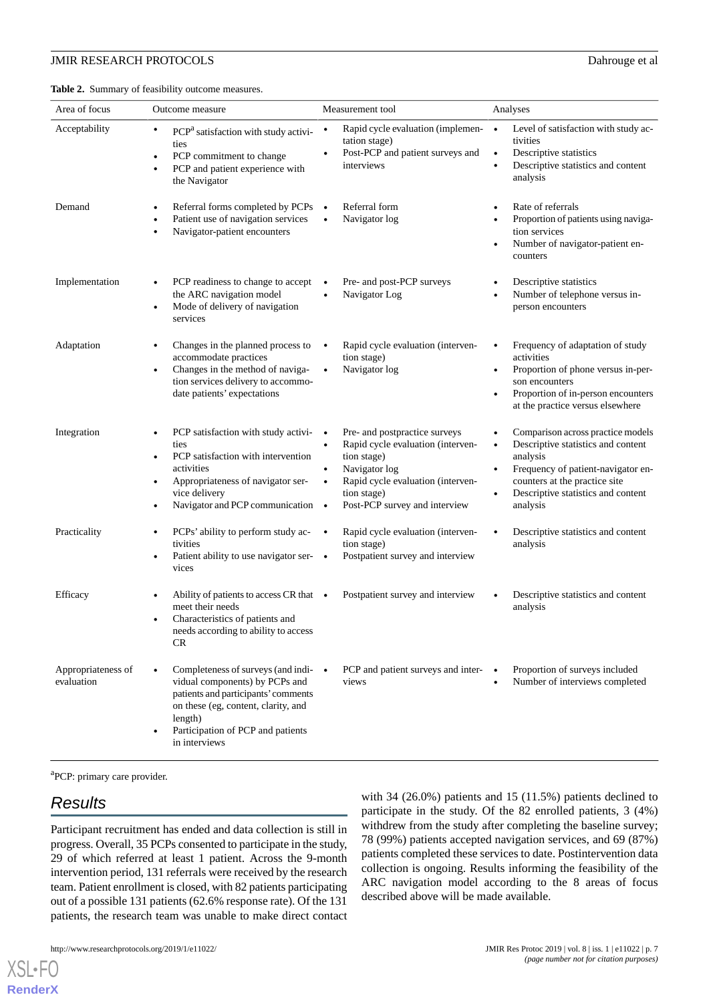<span id="page-6-0"></span>**Table 2.** Summary of feasibility outcome measures.

| Area of focus                    | Outcome measure                                                                                                                                                                                                                            | Measurement tool                                                                                                                                                                                     | Analyses                                                                                                                                                                                                                  |
|----------------------------------|--------------------------------------------------------------------------------------------------------------------------------------------------------------------------------------------------------------------------------------------|------------------------------------------------------------------------------------------------------------------------------------------------------------------------------------------------------|---------------------------------------------------------------------------------------------------------------------------------------------------------------------------------------------------------------------------|
| Acceptability                    | PCP <sup>a</sup> satisfaction with study activi-<br>$\bullet$<br>ties<br>PCP commitment to change<br>$\bullet$<br>PCP and patient experience with<br>the Navigator                                                                         | Rapid cycle evaluation (implemen- $\bullet$<br>$\bullet$<br>tation stage)<br>Post-PCP and patient surveys and<br>interviews                                                                          | Level of satisfaction with study ac-<br>tivities<br>Descriptive statistics<br>Descriptive statistics and content<br>$\bullet$<br>analysis                                                                                 |
| Demand                           | Referral forms completed by PCPs<br>Patient use of navigation services<br>Navigator-patient encounters                                                                                                                                     | Referral form<br>$\bullet$<br>Navigator log<br>$\bullet$                                                                                                                                             | Rate of referrals<br>Proportion of patients using naviga-<br>tion services<br>Number of navigator-patient en-<br>counters                                                                                                 |
| Implementation                   | PCP readiness to change to accept<br>٠<br>the ARC navigation model<br>Mode of delivery of navigation<br>$\bullet$<br>services                                                                                                              | Pre- and post-PCP surveys<br>Navigator Log                                                                                                                                                           | Descriptive statistics<br>Number of telephone versus in-<br>person encounters                                                                                                                                             |
| Adaptation                       | Changes in the planned process to<br>accommodate practices<br>Changes in the method of naviga-<br>$\bullet$<br>tion services delivery to accommo-<br>date patients' expectations                                                           | Rapid cycle evaluation (interven-<br>tion stage)<br>Navigator log<br>$\bullet$                                                                                                                       | Frequency of adaptation of study<br>activities<br>Proportion of phone versus in-per-<br>$\bullet$<br>son encounters<br>Proportion of in-person encounters<br>at the practice versus elsewhere                             |
| Integration                      | PCP satisfaction with study activi-<br>٠<br>ties<br>PCP satisfaction with intervention<br>$\bullet$<br>activities<br>Appropriateness of navigator ser-<br>vice delivery<br>Navigator and PCP communication •<br>$\bullet$                  | Pre- and postpractice surveys<br>Rapid cycle evaluation (interven-<br>tion stage)<br>Navigator log<br>$\bullet$<br>Rapid cycle evaluation (interven-<br>tion stage)<br>Post-PCP survey and interview | Comparison across practice models<br>Descriptive statistics and content<br>analysis<br>Frequency of patient-navigator en-<br>$\bullet$<br>counters at the practice site<br>Descriptive statistics and content<br>analysis |
| Practicality                     | PCPs' ability to perform study ac-<br>٠<br>tivities<br>Patient ability to use navigator ser-<br>$\bullet$<br>vices                                                                                                                         | Rapid cycle evaluation (interven-<br>tion stage)<br>Postpatient survey and interview<br>$\bullet$                                                                                                    | Descriptive statistics and content<br>analysis                                                                                                                                                                            |
| Efficacy                         | Ability of patients to access CR that •<br>meet their needs<br>Characteristics of patients and<br>needs according to ability to access<br>CR                                                                                               | Postpatient survey and interview                                                                                                                                                                     | Descriptive statistics and content<br>analysis                                                                                                                                                                            |
| Appropriateness of<br>evaluation | Completeness of surveys (and indi- $\bullet$<br>$\bullet$<br>vidual components) by PCPs and<br>patients and participants' comments<br>on these (eg, content, clarity, and<br>length)<br>Participation of PCP and patients<br>in interviews | PCP and patient surveys and inter-<br>views                                                                                                                                                          | Proportion of surveys included<br>Number of interviews completed                                                                                                                                                          |

<sup>a</sup>PCP: primary care provider.

# *Results*

[XSL](http://www.w3.org/Style/XSL)•FO **[RenderX](http://www.renderx.com/)**

Participant recruitment has ended and data collection is still in progress. Overall, 35 PCPs consented to participate in the study, 29 of which referred at least 1 patient. Across the 9-month intervention period, 131 referrals were received by the research team. Patient enrollment is closed, with 82 patients participating out of a possible 131 patients (62.6% response rate). Of the 131 patients, the research team was unable to make direct contact

with 34 (26.0%) patients and 15 (11.5%) patients declined to participate in the study. Of the 82 enrolled patients, 3 (4%) withdrew from the study after completing the baseline survey; 78 (99%) patients accepted navigation services, and 69 (87%) patients completed these services to date. Postintervention data collection is ongoing. Results informing the feasibility of the ARC navigation model according to the 8 areas of focus described above will be made available.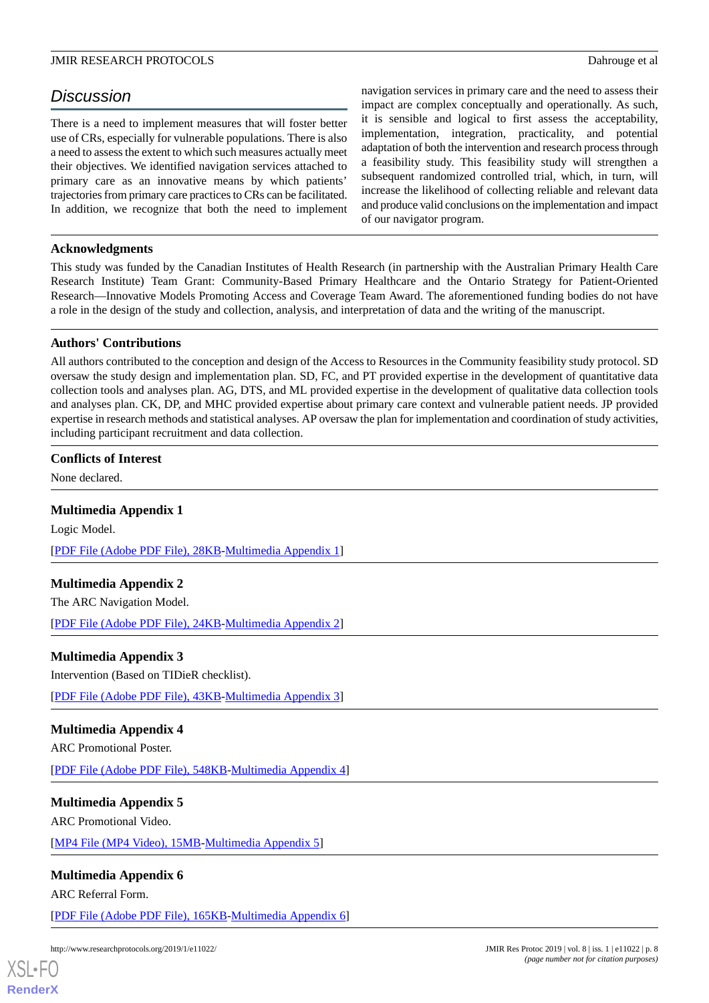# *Discussion*

There is a need to implement measures that will foster better use of CRs, especially for vulnerable populations. There is also a need to assess the extent to which such measures actually meet their objectives. We identified navigation services attached to primary care as an innovative means by which patients' trajectories from primary care practices to CRs can be facilitated. In addition, we recognize that both the need to implement navigation services in primary care and the need to assess their impact are complex conceptually and operationally. As such, it is sensible and logical to first assess the acceptability, implementation, integration, practicality, and potential adaptation of both the intervention and research process through a feasibility study. This feasibility study will strengthen a subsequent randomized controlled trial, which, in turn, will increase the likelihood of collecting reliable and relevant data and produce valid conclusions on the implementation and impact of our navigator program.

# **Acknowledgments**

This study was funded by the Canadian Institutes of Health Research (in partnership with the Australian Primary Health Care Research Institute) Team Grant: Community-Based Primary Healthcare and the Ontario Strategy for Patient-Oriented Research—Innovative Models Promoting Access and Coverage Team Award. The aforementioned funding bodies do not have a role in the design of the study and collection, analysis, and interpretation of data and the writing of the manuscript.

# **Authors' Contributions**

All authors contributed to the conception and design of the Access to Resources in the Community feasibility study protocol. SD oversaw the study design and implementation plan. SD, FC, and PT provided expertise in the development of quantitative data collection tools and analyses plan. AG, DTS, and ML provided expertise in the development of qualitative data collection tools and analyses plan. CK, DP, and MHC provided expertise about primary care context and vulnerable patient needs. JP provided expertise in research methods and statistical analyses. AP oversaw the plan for implementation and coordination of study activities, including participant recruitment and data collection.

#### <span id="page-7-0"></span>**Conflicts of Interest**

None declared.

# **Multimedia Appendix 1**

<span id="page-7-1"></span>Logic Model. [[PDF File \(Adobe PDF File\), 28KB-Multimedia Appendix 1](https://jmir.org/api/download?alt_name=resprot_v8i1e11022_app1.pdf&filename=b76653a50fc3244994dd8d341870daf9.pdf)]

# <span id="page-7-2"></span>**Multimedia Appendix 2**

The ARC Navigation Model.

[[PDF File \(Adobe PDF File\), 24KB-Multimedia Appendix 2](https://jmir.org/api/download?alt_name=resprot_v8i1e11022_app2.pdf&filename=8422431d64ebe938c2b3394d72d5a76c.pdf)]

# <span id="page-7-3"></span>**Multimedia Appendix 3**

Intervention (Based on TIDieR checklist).

[[PDF File \(Adobe PDF File\), 43KB-Multimedia Appendix 3](https://jmir.org/api/download?alt_name=resprot_v8i1e11022_app3.pdf&filename=38c12b38d9bd8a30fdb05cee25dc3253.pdf)]

# <span id="page-7-4"></span>**Multimedia Appendix 4**

ARC Promotional Poster.

[[PDF File \(Adobe PDF File\), 548KB-Multimedia Appendix 4](https://jmir.org/api/download?alt_name=resprot_v8i1e11022_app4.pdf&filename=bec6ee5f458b2e21efba1a0e835f9bc6.pdf)]

# <span id="page-7-5"></span>**Multimedia Appendix 5**

ARC Promotional Video.

[[MP4 File \(MP4 Video\), 15MB-Multimedia Appendix 5](https://jmir.org/api/download?alt_name=resprot_v8i1e11022_app5.mp4&filename=170fdfb0c73ee7e8ee08443253718470.mp4)]

# **Multimedia Appendix 6**

ARC Referral Form.

[[PDF File \(Adobe PDF File\), 165KB-Multimedia Appendix 6](https://jmir.org/api/download?alt_name=resprot_v8i1e11022_app6.pdf&filename=10403fc887ce01c290e73bc8d454a302.pdf)]

http://www.researchprotocols.org/2019/1/e11022/ JMIR Res Protoc 2019 | vol. 8 | iss. 1 | e11022 | p. 8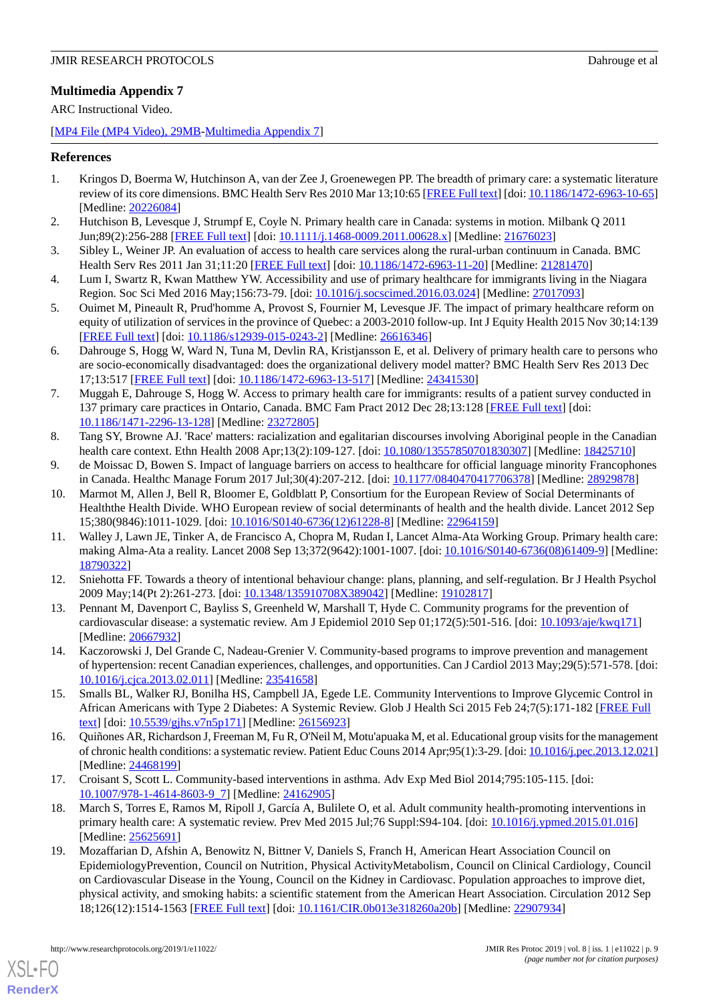# <span id="page-8-12"></span>**Multimedia Appendix 7**

ARC Instructional Video.

[[MP4 File \(MP4 Video\), 29MB-Multimedia Appendix 7](https://jmir.org/api/download?alt_name=resprot_v8i1e11022_app7.mp4&filename=612fa6d1686e1264fea9e0b8c407a06e.mp4)]

# <span id="page-8-0"></span>**References**

- <span id="page-8-1"></span>1. Kringos D, Boerma W, Hutchinson A, van der Zee J, Groenewegen PP. The breadth of primary care: a systematic literature review of its core dimensions. BMC Health Serv Res 2010 Mar 13;10:65 [\[FREE Full text\]](https://bmchealthservres.biomedcentral.com/articles/10.1186/1472-6963-10-65) [doi: [10.1186/1472-6963-10-65](http://dx.doi.org/10.1186/1472-6963-10-65)] [Medline: [20226084](http://www.ncbi.nlm.nih.gov/entrez/query.fcgi?cmd=Retrieve&db=PubMed&list_uids=20226084&dopt=Abstract)]
- <span id="page-8-2"></span>2. Hutchison B, Levesque J, Strumpf E, Coyle N. Primary health care in Canada: systems in motion. Milbank Q 2011 Jun;89(2):256-288 [[FREE Full text](http://europepmc.org/abstract/MED/21676023)] [doi: [10.1111/j.1468-0009.2011.00628.x\]](http://dx.doi.org/10.1111/j.1468-0009.2011.00628.x) [Medline: [21676023\]](http://www.ncbi.nlm.nih.gov/entrez/query.fcgi?cmd=Retrieve&db=PubMed&list_uids=21676023&dopt=Abstract)
- 3. Sibley L, Weiner JP. An evaluation of access to health care services along the rural-urban continuum in Canada. BMC Health Serv Res 2011 Jan 31;11:20 [[FREE Full text](https://bmchealthservres.biomedcentral.com/articles/10.1186/1472-6963-11-20)] [doi: [10.1186/1472-6963-11-20\]](http://dx.doi.org/10.1186/1472-6963-11-20) [Medline: [21281470](http://www.ncbi.nlm.nih.gov/entrez/query.fcgi?cmd=Retrieve&db=PubMed&list_uids=21281470&dopt=Abstract)]
- 4. Lum I, Swartz R, Kwan Matthew YW. Accessibility and use of primary healthcare for immigrants living in the Niagara Region. Soc Sci Med 2016 May;156:73-79. [doi: [10.1016/j.socscimed.2016.03.024\]](http://dx.doi.org/10.1016/j.socscimed.2016.03.024) [Medline: [27017093\]](http://www.ncbi.nlm.nih.gov/entrez/query.fcgi?cmd=Retrieve&db=PubMed&list_uids=27017093&dopt=Abstract)
- 5. Ouimet M, Pineault R, Prud'homme A, Provost S, Fournier M, Levesque JF. The impact of primary healthcare reform on equity of utilization of services in the province of Quebec: a 2003-2010 follow-up. Int J Equity Health 2015 Nov 30;14:139 [[FREE Full text](https://equityhealthj.biomedcentral.com/articles/10.1186/s12939-015-0243-2)] [doi: [10.1186/s12939-015-0243-2\]](http://dx.doi.org/10.1186/s12939-015-0243-2) [Medline: [26616346](http://www.ncbi.nlm.nih.gov/entrez/query.fcgi?cmd=Retrieve&db=PubMed&list_uids=26616346&dopt=Abstract)]
- 6. Dahrouge S, Hogg W, Ward N, Tuna M, Devlin RA, Kristjansson E, et al. Delivery of primary health care to persons who are socio-economically disadvantaged: does the organizational delivery model matter? BMC Health Serv Res 2013 Dec 17;13:517 [[FREE Full text](https://bmchealthservres.biomedcentral.com/articles/10.1186/1472-6963-13-517)] [doi: [10.1186/1472-6963-13-517\]](http://dx.doi.org/10.1186/1472-6963-13-517) [Medline: [24341530\]](http://www.ncbi.nlm.nih.gov/entrez/query.fcgi?cmd=Retrieve&db=PubMed&list_uids=24341530&dopt=Abstract)
- 7. Muggah E, Dahrouge S, Hogg W. Access to primary health care for immigrants: results of a patient survey conducted in 137 primary care practices in Ontario, Canada. BMC Fam Pract 2012 Dec 28;13:128 [[FREE Full text](https://bmcfampract.biomedcentral.com/articles/10.1186/1471-2296-13-128)] [doi: [10.1186/1471-2296-13-128\]](http://dx.doi.org/10.1186/1471-2296-13-128) [Medline: [23272805\]](http://www.ncbi.nlm.nih.gov/entrez/query.fcgi?cmd=Retrieve&db=PubMed&list_uids=23272805&dopt=Abstract)
- <span id="page-8-4"></span><span id="page-8-3"></span>8. Tang SY, Browne AJ. 'Race' matters: racialization and egalitarian discourses involving Aboriginal people in the Canadian health care context. Ethn Health 2008 Apr;13(2):109-127. [doi: [10.1080/13557850701830307\]](http://dx.doi.org/10.1080/13557850701830307) [Medline: [18425710](http://www.ncbi.nlm.nih.gov/entrez/query.fcgi?cmd=Retrieve&db=PubMed&list_uids=18425710&dopt=Abstract)]
- 9. de Moissac D, Bowen S. Impact of language barriers on access to healthcare for official language minority Francophones in Canada. Healthc Manage Forum 2017 Jul;30(4):207-212. [doi: [10.1177/0840470417706378\]](http://dx.doi.org/10.1177/0840470417706378) [Medline: [28929878](http://www.ncbi.nlm.nih.gov/entrez/query.fcgi?cmd=Retrieve&db=PubMed&list_uids=28929878&dopt=Abstract)]
- <span id="page-8-5"></span>10. Marmot M, Allen J, Bell R, Bloomer E, Goldblatt P, Consortium for the European Review of Social Determinants of Healththe Health Divide. WHO European review of social determinants of health and the health divide. Lancet 2012 Sep 15;380(9846):1011-1029. [doi: [10.1016/S0140-6736\(12\)61228-8\]](http://dx.doi.org/10.1016/S0140-6736(12)61228-8) [Medline: [22964159](http://www.ncbi.nlm.nih.gov/entrez/query.fcgi?cmd=Retrieve&db=PubMed&list_uids=22964159&dopt=Abstract)]
- <span id="page-8-7"></span><span id="page-8-6"></span>11. Walley J, Lawn JE, Tinker A, de Francisco A, Chopra M, Rudan I, Lancet Alma-Ata Working Group. Primary health care: making Alma-Ata a reality. Lancet 2008 Sep 13;372(9642):1001-1007. [doi: [10.1016/S0140-6736\(08\)61409-9\]](http://dx.doi.org/10.1016/S0140-6736(08)61409-9) [Medline: [18790322](http://www.ncbi.nlm.nih.gov/entrez/query.fcgi?cmd=Retrieve&db=PubMed&list_uids=18790322&dopt=Abstract)]
- 12. Sniehotta FF. Towards a theory of intentional behaviour change: plans, planning, and self-regulation. Br J Health Psychol 2009 May;14(Pt 2):261-273. [doi: [10.1348/135910708X389042\]](http://dx.doi.org/10.1348/135910708X389042) [Medline: [19102817](http://www.ncbi.nlm.nih.gov/entrez/query.fcgi?cmd=Retrieve&db=PubMed&list_uids=19102817&dopt=Abstract)]
- <span id="page-8-8"></span>13. Pennant M, Davenport C, Bayliss S, Greenheld W, Marshall T, Hyde C. Community programs for the prevention of cardiovascular disease: a systematic review. Am J Epidemiol 2010 Sep 01;172(5):501-516. [doi: [10.1093/aje/kwq171\]](http://dx.doi.org/10.1093/aje/kwq171) [Medline: [20667932](http://www.ncbi.nlm.nih.gov/entrez/query.fcgi?cmd=Retrieve&db=PubMed&list_uids=20667932&dopt=Abstract)]
- <span id="page-8-9"></span>14. Kaczorowski J, Del Grande C, Nadeau-Grenier V. Community-based programs to improve prevention and management of hypertension: recent Canadian experiences, challenges, and opportunities. Can J Cardiol 2013 May;29(5):571-578. [doi: [10.1016/j.cjca.2013.02.011\]](http://dx.doi.org/10.1016/j.cjca.2013.02.011) [Medline: [23541658\]](http://www.ncbi.nlm.nih.gov/entrez/query.fcgi?cmd=Retrieve&db=PubMed&list_uids=23541658&dopt=Abstract)
- 15. Smalls BL, Walker RJ, Bonilha HS, Campbell JA, Egede LE. Community Interventions to Improve Glycemic Control in African Americans with Type 2 Diabetes: A Systemic Review. Glob J Health Sci 2015 Feb 24;7(5):171-182 [[FREE Full](https://dx.doi.org/10.5539/gjhs.v7n5p171) [text](https://dx.doi.org/10.5539/gjhs.v7n5p171)] [doi: [10.5539/gjhs.v7n5p171](http://dx.doi.org/10.5539/gjhs.v7n5p171)] [Medline: [26156923\]](http://www.ncbi.nlm.nih.gov/entrez/query.fcgi?cmd=Retrieve&db=PubMed&list_uids=26156923&dopt=Abstract)
- <span id="page-8-10"></span>16. Quiñones AR, Richardson J, Freeman M, Fu R, O'Neil M, Motu'apuaka M, et al. Educational group visits for the management of chronic health conditions: a systematic review. Patient Educ Couns 2014 Apr;95(1):3-29. [doi: [10.1016/j.pec.2013.12.021\]](http://dx.doi.org/10.1016/j.pec.2013.12.021) [Medline: [24468199](http://www.ncbi.nlm.nih.gov/entrez/query.fcgi?cmd=Retrieve&db=PubMed&list_uids=24468199&dopt=Abstract)]
- <span id="page-8-11"></span>17. Croisant S, Scott L. Community-based interventions in asthma. Adv Exp Med Biol 2014;795:105-115. [doi: [10.1007/978-1-4614-8603-9\\_7](http://dx.doi.org/10.1007/978-1-4614-8603-9_7)] [Medline: [24162905\]](http://www.ncbi.nlm.nih.gov/entrez/query.fcgi?cmd=Retrieve&db=PubMed&list_uids=24162905&dopt=Abstract)
- 18. March S, Torres E, Ramos M, Ripoll J, García A, Bulilete O, et al. Adult community health-promoting interventions in primary health care: A systematic review. Prev Med 2015 Jul;76 Suppl:S94-104. [doi: [10.1016/j.ypmed.2015.01.016\]](http://dx.doi.org/10.1016/j.ypmed.2015.01.016) [Medline: [25625691](http://www.ncbi.nlm.nih.gov/entrez/query.fcgi?cmd=Retrieve&db=PubMed&list_uids=25625691&dopt=Abstract)]
- 19. Mozaffarian D, Afshin A, Benowitz N, Bittner V, Daniels S, Franch H, American Heart Association Council on EpidemiologyPrevention' Council on Nutrition' Physical ActivityMetabolism' Council on Clinical Cardiology' Council on Cardiovascular Disease in the Young' Council on the Kidney in Cardiovasc. Population approaches to improve diet, physical activity, and smoking habits: a scientific statement from the American Heart Association. Circulation 2012 Sep 18;126(12):1514-1563 [[FREE Full text](http://europepmc.org/abstract/MED/22907934)] [doi: [10.1161/CIR.0b013e318260a20b\]](http://dx.doi.org/10.1161/CIR.0b013e318260a20b) [Medline: [22907934\]](http://www.ncbi.nlm.nih.gov/entrez/query.fcgi?cmd=Retrieve&db=PubMed&list_uids=22907934&dopt=Abstract)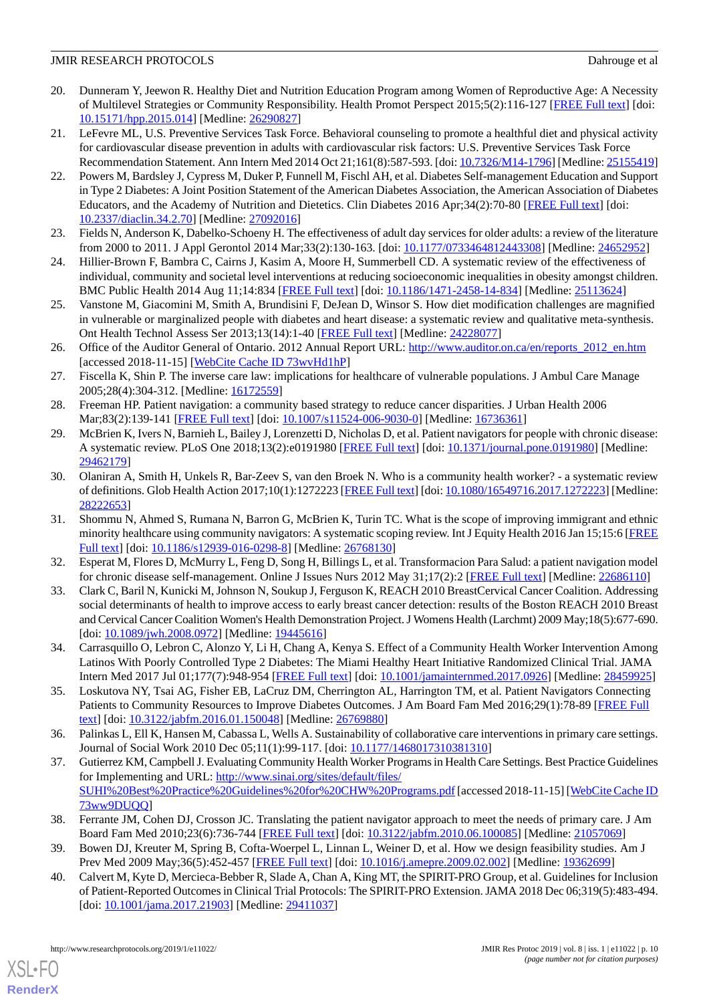- <span id="page-9-0"></span>20. Dunneram Y, Jeewon R. Healthy Diet and Nutrition Education Program among Women of Reproductive Age: A Necessity of Multilevel Strategies or Community Responsibility. Health Promot Perspect 2015;5(2):116-127 [\[FREE Full text\]](http://europepmc.org/abstract/MED/26290827) [doi: [10.15171/hpp.2015.014\]](http://dx.doi.org/10.15171/hpp.2015.014) [Medline: [26290827\]](http://www.ncbi.nlm.nih.gov/entrez/query.fcgi?cmd=Retrieve&db=PubMed&list_uids=26290827&dopt=Abstract)
- <span id="page-9-1"></span>21. LeFevre ML, U.S. Preventive Services Task Force. Behavioral counseling to promote a healthful diet and physical activity for cardiovascular disease prevention in adults with cardiovascular risk factors: U.S. Preventive Services Task Force Recommendation Statement. Ann Intern Med 2014 Oct 21;161(8):587-593. [doi: [10.7326/M14-1796](http://dx.doi.org/10.7326/M14-1796)] [Medline: [25155419\]](http://www.ncbi.nlm.nih.gov/entrez/query.fcgi?cmd=Retrieve&db=PubMed&list_uids=25155419&dopt=Abstract)
- <span id="page-9-2"></span>22. Powers M, Bardsley J, Cypress M, Duker P, Funnell M, Fischl AH, et al. Diabetes Self-management Education and Support in Type 2 Diabetes: A Joint Position Statement of the American Diabetes Association, the American Association of Diabetes Educators, and the Academy of Nutrition and Dietetics. Clin Diabetes 2016 Apr;34(2):70-80 [\[FREE Full text\]](http://europepmc.org/abstract/MED/27092016) [doi: [10.2337/diaclin.34.2.70\]](http://dx.doi.org/10.2337/diaclin.34.2.70) [Medline: [27092016](http://www.ncbi.nlm.nih.gov/entrez/query.fcgi?cmd=Retrieve&db=PubMed&list_uids=27092016&dopt=Abstract)]
- <span id="page-9-4"></span><span id="page-9-3"></span>23. Fields N, Anderson K, Dabelko-Schoeny H. The effectiveness of adult day services for older adults: a review of the literature from 2000 to 2011. J Appl Gerontol 2014 Mar;33(2):130-163. [doi: [10.1177/0733464812443308\]](http://dx.doi.org/10.1177/0733464812443308) [Medline: [24652952](http://www.ncbi.nlm.nih.gov/entrez/query.fcgi?cmd=Retrieve&db=PubMed&list_uids=24652952&dopt=Abstract)]
- <span id="page-9-5"></span>24. Hillier-Brown F, Bambra C, Cairns J, Kasim A, Moore H, Summerbell CD. A systematic review of the effectiveness of individual, community and societal level interventions at reducing socioeconomic inequalities in obesity amongst children. BMC Public Health 2014 Aug 11;14:834 [\[FREE Full text\]](https://bmcpublichealth.biomedcentral.com/articles/10.1186/1471-2458-14-834) [doi: [10.1186/1471-2458-14-834\]](http://dx.doi.org/10.1186/1471-2458-14-834) [Medline: [25113624\]](http://www.ncbi.nlm.nih.gov/entrez/query.fcgi?cmd=Retrieve&db=PubMed&list_uids=25113624&dopt=Abstract)
- <span id="page-9-6"></span>25. Vanstone M, Giacomini M, Smith A, Brundisini F, DeJean D, Winsor S. How diet modification challenges are magnified in vulnerable or marginalized people with diabetes and heart disease: a systematic review and qualitative meta-synthesis. Ont Health Technol Assess Ser 2013;13(14):1-40 [[FREE Full text](http://europepmc.org/abstract/MED/24228077)] [Medline: [24228077\]](http://www.ncbi.nlm.nih.gov/entrez/query.fcgi?cmd=Retrieve&db=PubMed&list_uids=24228077&dopt=Abstract)
- <span id="page-9-7"></span>26. Office of the Auditor General of Ontario. 2012 Annual Report URL: [http://www.auditor.on.ca/en/reports\\_2012\\_en.htm](http://www.auditor.on.ca/en/reports_2012_en.htm) [accessed 2018-11-15] [\[WebCite Cache ID 73wvHd1hP\]](http://www.webcitation.org/

                                            73wvHd1hP)
- <span id="page-9-8"></span>27. Fiscella K, Shin P. The inverse care law: implications for healthcare of vulnerable populations. J Ambul Care Manage 2005;28(4):304-312. [Medline: [16172559](http://www.ncbi.nlm.nih.gov/entrez/query.fcgi?cmd=Retrieve&db=PubMed&list_uids=16172559&dopt=Abstract)]
- <span id="page-9-9"></span>28. Freeman HP. Patient navigation: a community based strategy to reduce cancer disparities. J Urban Health 2006 Mar;83(2):139-141 [[FREE Full text\]](http://europepmc.org/abstract/MED/16736361) [doi: [10.1007/s11524-006-9030-0](http://dx.doi.org/10.1007/s11524-006-9030-0)] [Medline: [16736361](http://www.ncbi.nlm.nih.gov/entrez/query.fcgi?cmd=Retrieve&db=PubMed&list_uids=16736361&dopt=Abstract)]
- <span id="page-9-10"></span>29. McBrien K, Ivers N, Barnieh L, Bailey J, Lorenzetti D, Nicholas D, et al. Patient navigators for people with chronic disease: A systematic review. PLoS One 2018;13(2):e0191980 [\[FREE Full text\]](http://dx.plos.org/10.1371/journal.pone.0191980) [doi: [10.1371/journal.pone.0191980](http://dx.doi.org/10.1371/journal.pone.0191980)] [Medline: [29462179](http://www.ncbi.nlm.nih.gov/entrez/query.fcgi?cmd=Retrieve&db=PubMed&list_uids=29462179&dopt=Abstract)]
- <span id="page-9-11"></span>30. Olaniran A, Smith H, Unkels R, Bar-Zeev S, van den Broek N. Who is a community health worker? - a systematic review of definitions. Glob Health Action 2017;10(1):1272223 [\[FREE Full text](http://europepmc.org/abstract/MED/28222653)] [doi: [10.1080/16549716.2017.1272223](http://dx.doi.org/10.1080/16549716.2017.1272223)] [Medline: [28222653](http://www.ncbi.nlm.nih.gov/entrez/query.fcgi?cmd=Retrieve&db=PubMed&list_uids=28222653&dopt=Abstract)]
- <span id="page-9-12"></span>31. Shommu N, Ahmed S, Rumana N, Barron G, McBrien K, Turin TC. What is the scope of improving immigrant and ethnic minority healthcare using community navigators: A systematic scoping review. Int J Equity Health 2016 Jan 15;15:6 [\[FREE](https://equityhealthj.biomedcentral.com/articles/10.1186/s12939-016-0298-8) [Full text\]](https://equityhealthj.biomedcentral.com/articles/10.1186/s12939-016-0298-8) [doi: [10.1186/s12939-016-0298-8](http://dx.doi.org/10.1186/s12939-016-0298-8)] [Medline: [26768130](http://www.ncbi.nlm.nih.gov/entrez/query.fcgi?cmd=Retrieve&db=PubMed&list_uids=26768130&dopt=Abstract)]
- 32. Esperat M, Flores D, McMurry L, Feng D, Song H, Billings L, et al. Transformacion Para Salud: a patient navigation model for chronic disease self-management. Online J Issues Nurs 2012 May 31;17(2):2 [[FREE Full text](http://nursingworld.org/MainMenuCategories/ANAMarketplace/ANAPeriodicals/OJIN/TableofContents/Vol-17-2012/No2-May-2012/Transformacion-Para-Salud-Patient-Navigation-Model.html)] [Medline: [22686110\]](http://www.ncbi.nlm.nih.gov/entrez/query.fcgi?cmd=Retrieve&db=PubMed&list_uids=22686110&dopt=Abstract)
- 33. Clark C, Baril N, Kunicki M, Johnson N, Soukup J, Ferguson K, REACH 2010 BreastCervical Cancer Coalition. Addressing social determinants of health to improve access to early breast cancer detection: results of the Boston REACH 2010 Breast and Cervical Cancer Coalition Women's Health Demonstration Project. J Womens Health (Larchmt) 2009 May;18(5):677-690. [doi: [10.1089/jwh.2008.0972](http://dx.doi.org/10.1089/jwh.2008.0972)] [Medline: [19445616\]](http://www.ncbi.nlm.nih.gov/entrez/query.fcgi?cmd=Retrieve&db=PubMed&list_uids=19445616&dopt=Abstract)
- 34. Carrasquillo O, Lebron C, Alonzo Y, Li H, Chang A, Kenya S. Effect of a Community Health Worker Intervention Among Latinos With Poorly Controlled Type 2 Diabetes: The Miami Healthy Heart Initiative Randomized Clinical Trial. JAMA Intern Med 2017 Jul 01;177(7):948-954 [[FREE Full text](http://europepmc.org/abstract/MED/28459925)] [doi: [10.1001/jamainternmed.2017.0926\]](http://dx.doi.org/10.1001/jamainternmed.2017.0926) [Medline: [28459925\]](http://www.ncbi.nlm.nih.gov/entrez/query.fcgi?cmd=Retrieve&db=PubMed&list_uids=28459925&dopt=Abstract)
- <span id="page-9-13"></span>35. Loskutova NY, Tsai AG, Fisher EB, LaCruz DM, Cherrington AL, Harrington TM, et al. Patient Navigators Connecting Patients to Community Resources to Improve Diabetes Outcomes. J Am Board Fam Med 2016;29(1):78-89 [\[FREE Full](http://www.jabfm.org/cgi/pmidlookup?view=long&pmid=26769880) [text](http://www.jabfm.org/cgi/pmidlookup?view=long&pmid=26769880)] [doi: [10.3122/jabfm.2016.01.150048\]](http://dx.doi.org/10.3122/jabfm.2016.01.150048) [Medline: [26769880](http://www.ncbi.nlm.nih.gov/entrez/query.fcgi?cmd=Retrieve&db=PubMed&list_uids=26769880&dopt=Abstract)]
- <span id="page-9-14"></span>36. Palinkas L, Ell K, Hansen M, Cabassa L, Wells A. Sustainability of collaborative care interventions in primary care settings. Journal of Social Work 2010 Dec 05;11(1):99-117. [doi: [10.1177/1468017310381310\]](http://dx.doi.org/10.1177/1468017310381310)
- <span id="page-9-16"></span><span id="page-9-15"></span>37. Gutierrez KM, Campbell J. Evaluating Community Health Worker Programs in Health Care Settings. Best Practice Guidelines for Implementing and URL: [http://www.sinai.org/sites/default/files/](http://www.sinai.org/sites/default/files/SUHI%20Best%20Practice%20Guidelines%20for%20CHW%20Programs.pdf) [SUHI%20Best%20Practice%20Guidelines%20for%20CHW%20Programs.pdf](http://www.sinai.org/sites/default/files/SUHI%20Best%20Practice%20Guidelines%20for%20CHW%20Programs.pdf) [accessed 2018-11-15] [\[WebCite Cache ID](http://www.webcitation.org/

                                            73ww9DUQQ) [73ww9DUQQ\]](http://www.webcitation.org/

                                            73ww9DUQQ)
- 38. Ferrante JM, Cohen DJ, Crosson JC. Translating the patient navigator approach to meet the needs of primary care. J Am Board Fam Med 2010;23(6):736-744 [[FREE Full text](http://www.jabfm.org/cgi/pmidlookup?view=long&pmid=21057069)] [doi: [10.3122/jabfm.2010.06.100085](http://dx.doi.org/10.3122/jabfm.2010.06.100085)] [Medline: [21057069](http://www.ncbi.nlm.nih.gov/entrez/query.fcgi?cmd=Retrieve&db=PubMed&list_uids=21057069&dopt=Abstract)]
- 39. Bowen DJ, Kreuter M, Spring B, Cofta-Woerpel L, Linnan L, Weiner D, et al. How we design feasibility studies. Am J Prev Med 2009 May;36(5):452-457 [\[FREE Full text\]](http://europepmc.org/abstract/MED/19362699) [doi: [10.1016/j.amepre.2009.02.002](http://dx.doi.org/10.1016/j.amepre.2009.02.002)] [Medline: [19362699](http://www.ncbi.nlm.nih.gov/entrez/query.fcgi?cmd=Retrieve&db=PubMed&list_uids=19362699&dopt=Abstract)]
- 40. Calvert M, Kyte D, Mercieca-Bebber R, Slade A, Chan A, King MT, the SPIRIT-PRO Group, et al. Guidelines for Inclusion of Patient-Reported Outcomes in Clinical Trial Protocols: The SPIRIT-PRO Extension. JAMA 2018 Dec 06;319(5):483-494. [doi: [10.1001/jama.2017.21903\]](http://dx.doi.org/10.1001/jama.2017.21903) [Medline: [29411037](http://www.ncbi.nlm.nih.gov/entrez/query.fcgi?cmd=Retrieve&db=PubMed&list_uids=29411037&dopt=Abstract)]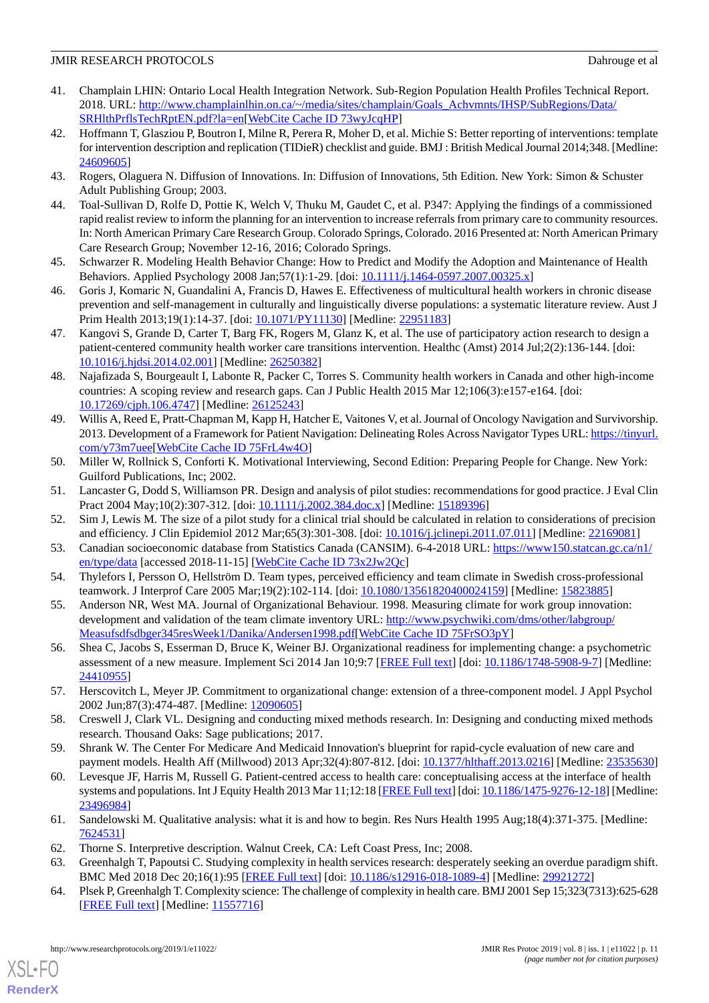- <span id="page-10-0"></span>41. Champlain LHIN: Ontario Local Health Integration Network. Sub-Region Population Health Profiles Technical Report. 2018. URL: [http://www.champlainlhin.on.ca/~/media/sites/champlain/Goals\\_Achvmnts/IHSP/SubRegions/Data/](http://www.champlainlhin.on.ca/~/media/sites/champlain/Goals_Achvmnts/IHSP/SubRegions/Data/SRHlthPrflsTechRptEN.pdf?la=en) [SRHlthPrflsTechRptEN.pdf?la=en](http://www.champlainlhin.on.ca/~/media/sites/champlain/Goals_Achvmnts/IHSP/SubRegions/Data/SRHlthPrflsTechRptEN.pdf?la=en)[\[WebCite Cache ID 73wyJcqHP](http://www.webcitation.org/

                                            73wyJcqHP)]
- <span id="page-10-1"></span>42. Hoffmann T, Glasziou P, Boutron I, Milne R, Perera R, Moher D, et al. Michie S: Better reporting of interventions: template for intervention description and replication (TIDieR) checklist and guide. BMJ : British Medical Journal 2014;348. [Medline: [24609605](http://www.ncbi.nlm.nih.gov/entrez/query.fcgi?cmd=Retrieve&db=PubMed&list_uids=24609605&dopt=Abstract)]
- <span id="page-10-3"></span><span id="page-10-2"></span>43. Rogers, Olaguera N. Diffusion of Innovations. In: Diffusion of Innovations, 5th Edition. New York: Simon & Schuster Adult Publishing Group; 2003.
- 44. Toal-Sullivan D, Rolfe D, Pottie K, Welch V, Thuku M, Gaudet C, et al. P347: Applying the findings of a commissioned rapid realist review to inform the planning for an intervention to increase referrals from primary care to community resources. In: North American Primary Care Research Group. Colorado Springs, Colorado. 2016 Presented at: North American Primary Care Research Group; November 12-16, 2016; Colorado Springs.
- <span id="page-10-5"></span><span id="page-10-4"></span>45. Schwarzer R. Modeling Health Behavior Change: How to Predict and Modify the Adoption and Maintenance of Health Behaviors. Applied Psychology 2008 Jan; 57(1):1-29. [doi: [10.1111/j.1464-0597.2007.00325.x\]](http://dx.doi.org/10.1111/j.1464-0597.2007.00325.x)
- 46. Goris J, Komaric N, Guandalini A, Francis D, Hawes E. Effectiveness of multicultural health workers in chronic disease prevention and self-management in culturally and linguistically diverse populations: a systematic literature review. Aust J Prim Health 2013;19(1):14-37. [doi: [10.1071/PY11130\]](http://dx.doi.org/10.1071/PY11130) [Medline: [22951183](http://www.ncbi.nlm.nih.gov/entrez/query.fcgi?cmd=Retrieve&db=PubMed&list_uids=22951183&dopt=Abstract)]
- 47. Kangovi S, Grande D, Carter T, Barg FK, Rogers M, Glanz K, et al. The use of participatory action research to design a patient-centered community health worker care transitions intervention. Healthc (Amst) 2014 Jul;2(2):136-144. [doi: [10.1016/j.hjdsi.2014.02.001](http://dx.doi.org/10.1016/j.hjdsi.2014.02.001)] [Medline: [26250382\]](http://www.ncbi.nlm.nih.gov/entrez/query.fcgi?cmd=Retrieve&db=PubMed&list_uids=26250382&dopt=Abstract)
- <span id="page-10-6"></span>48. Najafizada S, Bourgeault I, Labonte R, Packer C, Torres S. Community health workers in Canada and other high-income countries: A scoping review and research gaps. Can J Public Health 2015 Mar 12;106(3):e157-e164. [doi: [10.17269/cjph.106.4747](http://dx.doi.org/10.17269/cjph.106.4747)] [Medline: [26125243\]](http://www.ncbi.nlm.nih.gov/entrez/query.fcgi?cmd=Retrieve&db=PubMed&list_uids=26125243&dopt=Abstract)
- <span id="page-10-7"></span>49. Willis A, Reed E, Pratt-Chapman M, Kapp H, Hatcher E, Vaitones V, et al. Journal of Oncology Navigation and Survivorship. 2013. Development of a Framework for Patient Navigation: Delineating Roles Across Navigator Types URL: [https://tinyurl.](https://tinyurl.com/y73m7uee) [com/y73m7uee](https://tinyurl.com/y73m7uee)[[WebCite Cache ID 75FrL4w4O\]](http://www.webcitation.org/

                                            75FrL4w4O)
- <span id="page-10-9"></span><span id="page-10-8"></span>50. Miller W, Rollnick S, Conforti K. Motivational Interviewing, Second Edition: Preparing People for Change. New York: Guilford Publications, Inc; 2002.
- <span id="page-10-10"></span>51. Lancaster G, Dodd S, Williamson PR. Design and analysis of pilot studies: recommendations for good practice. J Eval Clin Pract 2004 May;10(2):307-312. [doi: [10.1111/j.2002.384.doc.x\]](http://dx.doi.org/10.1111/j.2002.384.doc.x) [Medline: [15189396\]](http://www.ncbi.nlm.nih.gov/entrez/query.fcgi?cmd=Retrieve&db=PubMed&list_uids=15189396&dopt=Abstract)
- <span id="page-10-11"></span>52. Sim J, Lewis M. The size of a pilot study for a clinical trial should be calculated in relation to considerations of precision and efficiency. J Clin Epidemiol 2012 Mar;65(3):301-308. [doi: [10.1016/j.jclinepi.2011.07.011\]](http://dx.doi.org/10.1016/j.jclinepi.2011.07.011) [Medline: [22169081](http://www.ncbi.nlm.nih.gov/entrez/query.fcgi?cmd=Retrieve&db=PubMed&list_uids=22169081&dopt=Abstract)]
- <span id="page-10-12"></span>53. Canadian socioeconomic database from Statistics Canada (CANSIM). 6-4-2018 URL: [https://www150.statcan.gc.ca/n1/](https://www150.statcan.gc.ca/n1/en/type/data) [en/type/data](https://www150.statcan.gc.ca/n1/en/type/data) [accessed 2018-11-15] [\[WebCite Cache ID 73x2Jw2Qc](http://www.webcitation.org/

                                            73x2Jw2Qc)]
- <span id="page-10-13"></span>54. Thylefors I, Persson O, Hellström D. Team types, perceived efficiency and team climate in Swedish cross-professional teamwork. J Interprof Care 2005 Mar;19(2):102-114. [doi: [10.1080/13561820400024159\]](http://dx.doi.org/10.1080/13561820400024159) [Medline: [15823885](http://www.ncbi.nlm.nih.gov/entrez/query.fcgi?cmd=Retrieve&db=PubMed&list_uids=15823885&dopt=Abstract)]
- <span id="page-10-14"></span>55. Anderson NR, West MA. Journal of Organizational Behaviour. 1998. Measuring climate for work group innovation: development and validation of the team climate inventory URL: [http://www.psychwiki.com/dms/other/labgroup/](http://www.psychwiki.com/dms/other/labgroup/Measufsdfsdbger345resWeek1/Danika/Andersen1998.pdf) [Measufsdfsdbger345resWeek1/Danika/Andersen1998.pdf](http://www.psychwiki.com/dms/other/labgroup/Measufsdfsdbger345resWeek1/Danika/Andersen1998.pdf)[[WebCite Cache ID 75FrSO3pY](http://www.webcitation.org/

                                            75FrSO3pY)]
- <span id="page-10-15"></span>56. Shea C, Jacobs S, Esserman D, Bruce K, Weiner BJ. Organizational readiness for implementing change: a psychometric assessment of a new measure. Implement Sci 2014 Jan 10;9:7 [\[FREE Full text\]](https://implementationscience.biomedcentral.com/articles/10.1186/1748-5908-9-7) [doi: [10.1186/1748-5908-9-7](http://dx.doi.org/10.1186/1748-5908-9-7)] [Medline: [24410955](http://www.ncbi.nlm.nih.gov/entrez/query.fcgi?cmd=Retrieve&db=PubMed&list_uids=24410955&dopt=Abstract)]
- <span id="page-10-17"></span><span id="page-10-16"></span>57. Herscovitch L, Meyer JP. Commitment to organizational change: extension of a three-component model. J Appl Psychol 2002 Jun;87(3):474-487. [Medline: [12090605](http://www.ncbi.nlm.nih.gov/entrez/query.fcgi?cmd=Retrieve&db=PubMed&list_uids=12090605&dopt=Abstract)]
- 58. Creswell J, Clark VL. Designing and conducting mixed methods research. In: Designing and conducting mixed methods research. Thousand Oaks: Sage publications; 2017.
- <span id="page-10-18"></span>59. Shrank W. The Center For Medicare And Medicaid Innovation's blueprint for rapid-cycle evaluation of new care and payment models. Health Aff (Millwood) 2013 Apr;32(4):807-812. [doi: [10.1377/hlthaff.2013.0216\]](http://dx.doi.org/10.1377/hlthaff.2013.0216) [Medline: [23535630](http://www.ncbi.nlm.nih.gov/entrez/query.fcgi?cmd=Retrieve&db=PubMed&list_uids=23535630&dopt=Abstract)]
- <span id="page-10-20"></span><span id="page-10-19"></span>60. Levesque JF, Harris M, Russell G. Patient-centred access to health care: conceptualising access at the interface of health systems and populations. Int J Equity Health 2013 Mar 11;12:18 [\[FREE Full text](https://equityhealthj.biomedcentral.com/articles/10.1186/1475-9276-12-18)] [doi: [10.1186/1475-9276-12-18\]](http://dx.doi.org/10.1186/1475-9276-12-18) [Medline: [23496984](http://www.ncbi.nlm.nih.gov/entrez/query.fcgi?cmd=Retrieve&db=PubMed&list_uids=23496984&dopt=Abstract)]
- <span id="page-10-21"></span>61. Sandelowski M. Qualitative analysis: what it is and how to begin. Res Nurs Health 1995 Aug;18(4):371-375. [Medline: [7624531\]](http://www.ncbi.nlm.nih.gov/entrez/query.fcgi?cmd=Retrieve&db=PubMed&list_uids=7624531&dopt=Abstract)
- 62. Thorne S. Interpretive description. Walnut Creek, CA: Left Coast Press, Inc; 2008.
- 63. Greenhalgh T, Papoutsi C. Studying complexity in health services research: desperately seeking an overdue paradigm shift. BMC Med 2018 Dec 20;16(1):95 [\[FREE Full text\]](https://bmcmedicine.biomedcentral.com/articles/10.1186/s12916-018-1089-4) [doi: [10.1186/s12916-018-1089-4](http://dx.doi.org/10.1186/s12916-018-1089-4)] [Medline: [29921272\]](http://www.ncbi.nlm.nih.gov/entrez/query.fcgi?cmd=Retrieve&db=PubMed&list_uids=29921272&dopt=Abstract)
- 64. Plsek P, Greenhalgh T. Complexity science: The challenge of complexity in health care. BMJ 2001 Sep 15;323(7313):625-628 [[FREE Full text](http://europepmc.org/abstract/MED/11557716)] [Medline: [11557716](http://www.ncbi.nlm.nih.gov/entrez/query.fcgi?cmd=Retrieve&db=PubMed&list_uids=11557716&dopt=Abstract)]